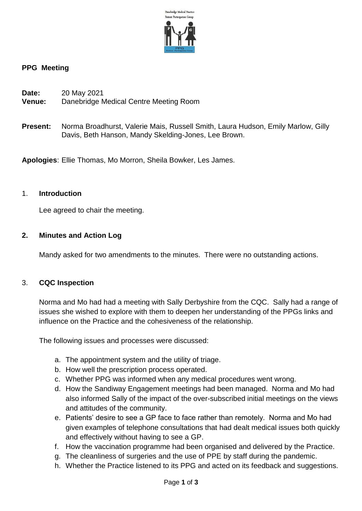

### **PPG Meeting**

| Date:  | 20 May 2021                            |
|--------|----------------------------------------|
| Venue: | Danebridge Medical Centre Meeting Room |

**Present:** Norma Broadhurst, Valerie Mais, Russell Smith, Laura Hudson, Emily Marlow, Gilly Davis, Beth Hanson, Mandy Skelding-Jones, Lee Brown.

**Apologies**: Ellie Thomas, Mo Morron, Sheila Bowker, Les James.

#### 1. **Introduction**

Lee agreed to chair the meeting.

### **2. Minutes and Action Log**

Mandy asked for two amendments to the minutes. There were no outstanding actions.

### 3. **CQC Inspection**

Norma and Mo had had a meeting with Sally Derbyshire from the CQC. Sally had a range of issues she wished to explore with them to deepen her understanding of the PPGs links and influence on the Practice and the cohesiveness of the relationship.

The following issues and processes were discussed:

- a. The appointment system and the utility of triage.
- b. How well the prescription process operated.
- c. Whether PPG was informed when any medical procedures went wrong.
- d. How the Sandiway Engagement meetings had been managed. Norma and Mo had also informed Sally of the impact of the over-subscribed initial meetings on the views and attitudes of the community.
- e. Patients' desire to see a GP face to face rather than remotely. Norma and Mo had given examples of telephone consultations that had dealt medical issues both quickly and effectively without having to see a GP.
- f. How the vaccination programme had been organised and delivered by the Practice.
- g. The cleanliness of surgeries and the use of PPE by staff during the pandemic.
- h. Whether the Practice listened to its PPG and acted on its feedback and suggestions.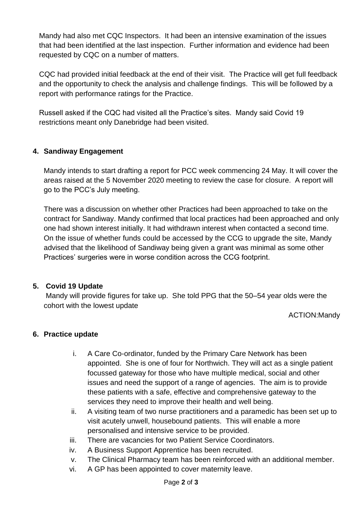Mandy had also met CQC Inspectors. It had been an intensive examination of the issues that had been identified at the last inspection. Further information and evidence had been requested by CQC on a number of matters.

CQC had provided initial feedback at the end of their visit. The Practice will get full feedback and the opportunity to check the analysis and challenge findings. This will be followed by a report with performance ratings for the Practice.

Russell asked if the CQC had visited all the Practice's sites. Mandy said Covid 19 restrictions meant only Danebridge had been visited.

### **4. Sandiway Engagement**

Mandy intends to start drafting a report for PCC week commencing 24 May. It will cover the areas raised at the 5 November 2020 meeting to review the case for closure. A report will go to the PCC's July meeting.

There was a discussion on whether other Practices had been approached to take on the contract for Sandiway. Mandy confirmed that local practices had been approached and only one had shown interest initially. It had withdrawn interest when contacted a second time. On the issue of whether funds could be accessed by the CCG to upgrade the site, Mandy advised that the likelihood of Sandiway being given a grant was minimal as some other Practices' surgeries were in worse condition across the CCG footprint.

### **5. Covid 19 Update**

Mandy will provide figures for take up. She told PPG that the 50–54 year olds were the cohort with the lowest update

ACTION:Mandy

### **6. Practice update**

- i. A Care Co-ordinator, funded by the Primary Care Network has been appointed. She is one of four for Northwich. They will act as a single patient focussed gateway for those who have multiple medical, social and other issues and need the support of a range of agencies. The aim is to provide these patients with a safe, effective and comprehensive gateway to the services they need to improve their health and well being.
- ii. A visiting team of two nurse practitioners and a paramedic has been set up to visit acutely unwell, housebound patients. This will enable a more personalised and intensive service to be provided.
- iii. There are vacancies for two Patient Service Coordinators.
- iv. A Business Support Apprentice has been recruited.
- v. The Clinical Pharmacy team has been reinforced with an additional member.
- vi. A GP has been appointed to cover maternity leave.